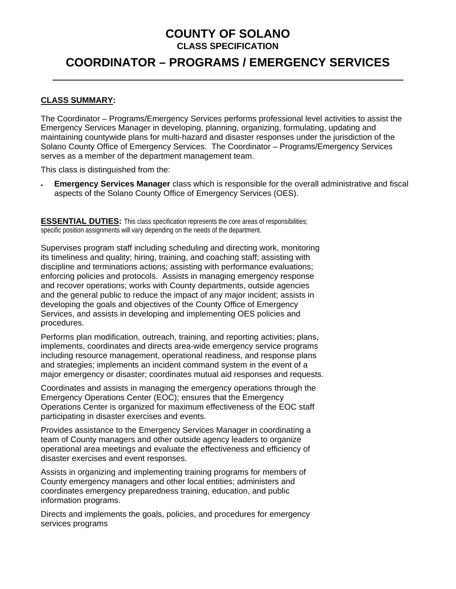### **COUNTY OF SOLANO CLASS SPECIFICATION**

## **COORDINATOR – PROGRAMS / EMERGENCY SERVICES**

#### **CLASS SUMMARY:**

The Coordinator – Programs/Emergency Services performs professional level activities to assist the Emergency Services Manager in developing, planning, organizing, formulating, updating and maintaining countywide plans for multi-hazard and disaster responses under the jurisdiction of the Solano County Office of Emergency Services. The Coordinator – Programs/Emergency Services serves as a member of the department management team.

This class is distinguished from the:

• **Emergency Services Manager** class which is responsible for the overall administrative and fiscal aspects of the Solano County Office of Emergency Services (OES).

**ESSENTIAL DUTIES:** This class specification represents the core areas of responsibilities; specific position assignments will vary depending on the needs of the department.

Supervises program staff including scheduling and directing work, monitoring its timeliness and quality; hiring, training, and coaching staff; assisting with discipline and terminations actions; assisting with performance evaluations; enforcing policies and protocols. Assists in managing emergency response and recover operations; works with County departments, outside agencies and the general public to reduce the impact of any major incident; assists in developing the goals and objectives of the County Office of Emergency Services, and assists in developing and implementing OES policies and procedures.

Performs plan modification, outreach, training, and reporting activities; plans, implements, coordinates and directs area-wide emergency service programs including resource management, operational readiness, and response plans and strategies; implements an incident command system in the event of a major emergency or disaster; coordinates mutual aid responses and requests.

Coordinates and assists in managing the emergency operations through the Emergency Operations Center (EOC); ensures that the Emergency Operations Center is organized for maximum effectiveness of the EOC staff participating in disaster exercises and events.

Provides assistance to the Emergency Services Manager in coordinating a team of County managers and other outside agency leaders to organize operational area meetings and evaluate the effectiveness and efficiency of disaster exercises and event responses.

Assists in organizing and implementing training programs for members of County emergency managers and other local entities; administers and coordinates emergency preparedness training, education, and public information programs.

Directs and implements the goals, policies, and procedures for emergency services programs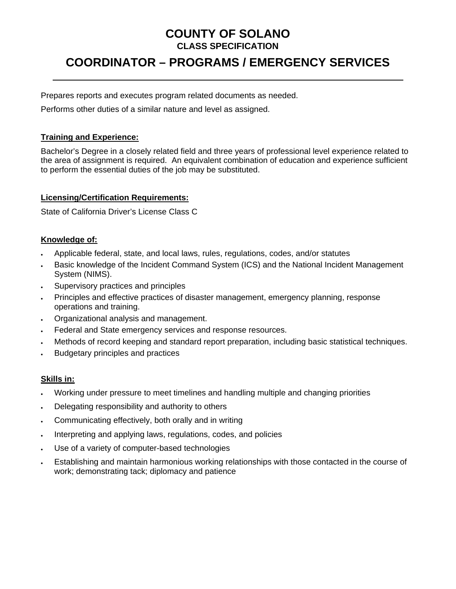## **COUNTY OF SOLANO CLASS SPECIFICATION**

# **COORDINATOR – PROGRAMS / EMERGENCY SERVICES**

Prepares reports and executes program related documents as needed.

Performs other duties of a similar nature and level as assigned.

#### **Training and Experience:**

Bachelor's Degree in a closely related field and three years of professional level experience related to the area of assignment is required. An equivalent combination of education and experience sufficient to perform the essential duties of the job may be substituted.

#### **Licensing/Certification Requirements:**

State of California Driver's License Class C

#### **Knowledge of:**

- Applicable federal, state, and local laws, rules, regulations, codes, and/or statutes
- Basic knowledge of the Incident Command System (ICS) and the National Incident Management System (NIMS).
- Supervisory practices and principles
- Principles and effective practices of disaster management, emergency planning, response operations and training.
- Organizational analysis and management.
- Federal and State emergency services and response resources.
- Methods of record keeping and standard report preparation, including basic statistical techniques.
- Budgetary principles and practices

#### **Skills in:**

- Working under pressure to meet timelines and handling multiple and changing priorities
- Delegating responsibility and authority to others
- Communicating effectively, both orally and in writing
- Interpreting and applying laws, regulations, codes, and policies
- Use of a variety of computer-based technologies
- Establishing and maintain harmonious working relationships with those contacted in the course of work; demonstrating tack; diplomacy and patience